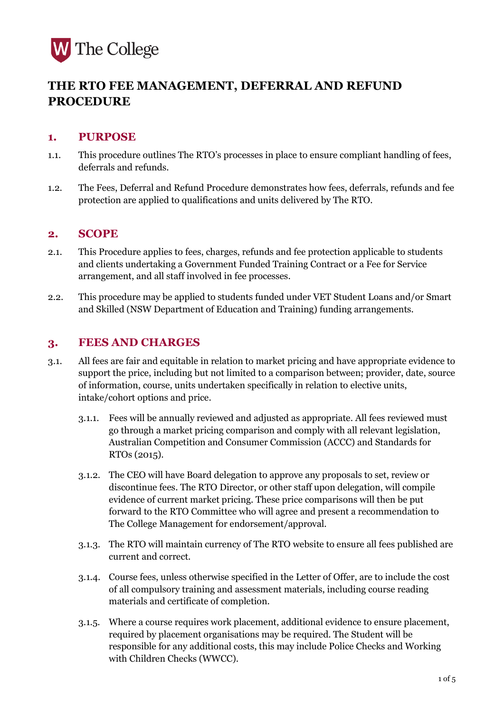

# **THE RTO FEE MANAGEMENT, DEFERRAL AND REFUND PROCEDURE**

### **1. PURPOSE**

- 1.1. This procedure outlines The RTO's processes in place to ensure compliant handling of fees, deferrals and refunds.
- 1.2. The Fees, Deferral and Refund Procedure demonstrates how fees, deferrals, refunds and fee protection are applied to qualifications and units delivered by The RTO.

## **2. SCOPE**

- 2.1. This Procedure applies to fees, charges, refunds and fee protection applicable to students and clients undertaking a Government Funded Training Contract or a Fee for Service arrangement, and all staff involved in fee processes.
- 2.2. This procedure may be applied to students funded under VET Student Loans and/or Smart and Skilled (NSW Department of Education and Training) funding arrangements.

## **3. FEES AND CHARGES**

- 3.1. All fees are fair and equitable in relation to market pricing and have appropriate evidence to support the price, including but not limited to a comparison between; provider, date, source of information, course, units undertaken specifically in relation to elective units, intake/cohort options and price.
	- 3.1.1. Fees will be annually reviewed and adjusted as appropriate. All fees reviewed must go through a market pricing comparison and comply with all relevant legislation, Australian Competition and Consumer Commission (ACCC) and Standards for RTOs (2015).
	- 3.1.2. The CEO will have Board delegation to approve any proposals to set, review or discontinue fees. The RTO Director, or other staff upon delegation, will compile evidence of current market pricing. These price comparisons will then be put forward to the RTO Committee who will agree and present a recommendation to The College Management for endorsement/approval.
	- 3.1.3. The RTO will maintain currency of The RTO website to ensure all fees published are current and correct.
	- 3.1.4. Course fees, unless otherwise specified in the Letter of Offer, are to include the cost of all compulsory training and assessment materials, including course reading materials and certificate of completion.
	- 3.1.5. Where a course requires work placement, additional evidence to ensure placement, required by placement organisations may be required. The Student will be responsible for any additional costs, this may include Police Checks and Working with Children Checks (WWCC).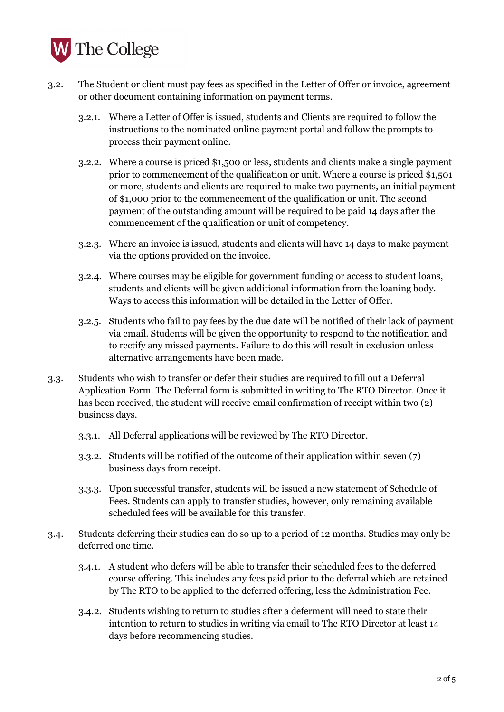

- 3.2. The Student or client must pay fees as specified in the Letter of Offer or invoice, agreement or other document containing information on payment terms.
	- 3.2.1. Where a Letter of Offer is issued, students and Clients are required to follow the instructions to the nominated online payment portal and follow the prompts to process their payment online.
	- 3.2.2. Where a course is priced \$1,500 or less, students and clients make a single payment prior to commencement of the qualification or unit. Where a course is priced \$1,501 or more, students and clients are required to make two payments, an initial payment of \$1,000 prior to the commencement of the qualification or unit. The second payment of the outstanding amount will be required to be paid 14 days after the commencement of the qualification or unit of competency.
	- 3.2.3. Where an invoice is issued, students and clients will have 14 days to make payment via the options provided on the invoice.
	- 3.2.4. Where courses may be eligible for government funding or access to student loans, students and clients will be given additional information from the loaning body. Ways to access this information will be detailed in the Letter of Offer.
	- 3.2.5. Students who fail to pay fees by the due date will be notified of their lack of payment via email. Students will be given the opportunity to respond to the notification and to rectify any missed payments. Failure to do this will result in exclusion unless alternative arrangements have been made.
- 3.3. Students who wish to transfer or defer their studies are required to fill out a Deferral Application Form. The Deferral form is submitted in writing to The RTO Director. Once it has been received, the student will receive email confirmation of receipt within two (2) business days.
	- 3.3.1. All Deferral applications will be reviewed by The RTO Director.
	- 3.3.2. Students will be notified of the outcome of their application within seven (7) business days from receipt.
	- 3.3.3. Upon successful transfer, students will be issued a new statement of Schedule of Fees. Students can apply to transfer studies, however, only remaining available scheduled fees will be available for this transfer.
- 3.4. Students deferring their studies can do so up to a period of 12 months. Studies may only be deferred one time.
	- 3.4.1. A student who defers will be able to transfer their scheduled fees to the deferred course offering. This includes any fees paid prior to the deferral which are retained by The RTO to be applied to the deferred offering, less the Administration Fee.
	- 3.4.2. Students wishing to return to studies after a deferment will need to state their intention to return to studies in writing via email to The RTO Director at least 14 days before recommencing studies.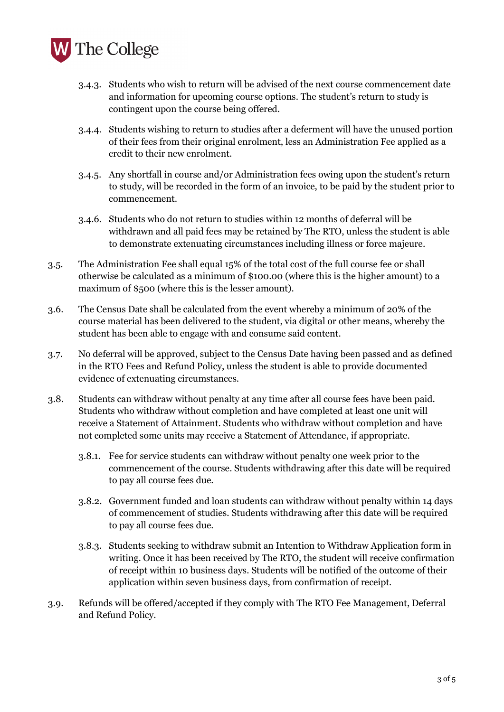

- 3.4.3. Students who wish to return will be advised of the next course commencement date and information for upcoming course options. The student's return to study is contingent upon the course being offered.
- 3.4.4. Students wishing to return to studies after a deferment will have the unused portion of their fees from their original enrolment, less an Administration Fee applied as a credit to their new enrolment.
- 3.4.5. Any shortfall in course and/or Administration fees owing upon the student's return to study, will be recorded in the form of an invoice, to be paid by the student prior to commencement.
- 3.4.6. Students who do not return to studies within 12 months of deferral will be withdrawn and all paid fees may be retained by The RTO, unless the student is able to demonstrate extenuating circumstances including illness or force majeure.
- 3.5. The Administration Fee shall equal 15% of the total cost of the full course fee or shall otherwise be calculated as a minimum of \$100.00 (where this is the higher amount) to a maximum of \$500 (where this is the lesser amount).
- 3.6. The Census Date shall be calculated from the event whereby a minimum of 20% of the course material has been delivered to the student, via digital or other means, whereby the student has been able to engage with and consume said content.
- 3.7. No deferral will be approved, subject to the Census Date having been passed and as defined in the RTO Fees and Refund Policy, unless the student is able to provide documented evidence of extenuating circumstances.
- 3.8. Students can withdraw without penalty at any time after all course fees have been paid. Students who withdraw without completion and have completed at least one unit will receive a Statement of Attainment. Students who withdraw without completion and have not completed some units may receive a Statement of Attendance, if appropriate.
	- 3.8.1. Fee for service students can withdraw without penalty one week prior to the commencement of the course. Students withdrawing after this date will be required to pay all course fees due.
	- 3.8.2. Government funded and loan students can withdraw without penalty within 14 days of commencement of studies. Students withdrawing after this date will be required to pay all course fees due.
	- 3.8.3. Students seeking to withdraw submit an Intention to Withdraw Application form in writing. Once it has been received by The RTO, the student will receive confirmation of receipt within 10 business days. Students will be notified of the outcome of their application within seven business days, from confirmation of receipt.
- 3.9. Refunds will be offered/accepted if they comply with The RTO Fee Management, Deferral and Refund Policy.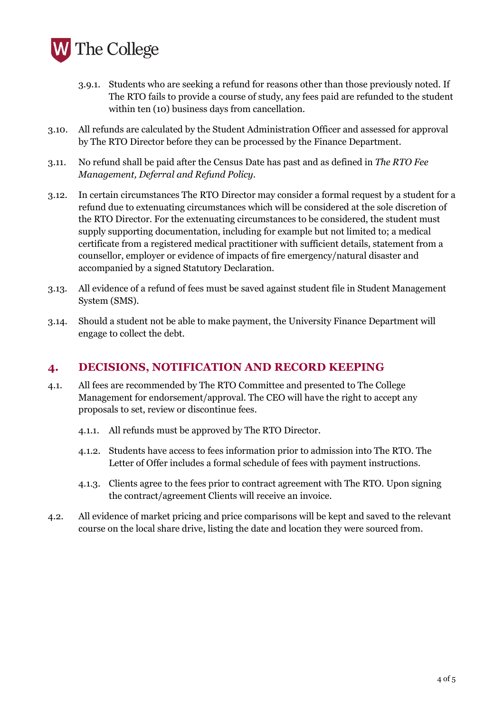

- 3.9.1. Students who are seeking a refund for reasons other than those previously noted. If The RTO fails to provide a course of study, any fees paid are refunded to the student within ten (10) business days from cancellation.
- 3.10. All refunds are calculated by the Student Administration Officer and assessed for approval by The RTO Director before they can be processed by the Finance Department.
- 3.11. No refund shall be paid after the Census Date has past and as defined in *The RTO Fee Management, Deferral and Refund Policy*.
- 3.12. In certain circumstances The RTO Director may consider a formal request by a student for a refund due to extenuating circumstances which will be considered at the sole discretion of the RTO Director. For the extenuating circumstances to be considered, the student must supply supporting documentation, including for example but not limited to; a medical certificate from a registered medical practitioner with sufficient details, statement from a counsellor, employer or evidence of impacts of fire emergency/natural disaster and accompanied by a signed Statutory Declaration.
- 3.13. All evidence of a refund of fees must be saved against student file in Student Management System (SMS).
- 3.14. Should a student not be able to make payment, the University Finance Department will engage to collect the debt.

### **4. DECISIONS, NOTIFICATION AND RECORD KEEPING**

- 4.1. All fees are recommended by The RTO Committee and presented to The College Management for endorsement/approval. The CEO will have the right to accept any proposals to set, review or discontinue fees.
	- 4.1.1. All refunds must be approved by The RTO Director.
	- 4.1.2. Students have access to fees information prior to admission into The RTO. The Letter of Offer includes a formal schedule of fees with payment instructions.
	- 4.1.3. Clients agree to the fees prior to contract agreement with The RTO. Upon signing the contract/agreement Clients will receive an invoice.
- 4.2. All evidence of market pricing and price comparisons will be kept and saved to the relevant course on the local share drive, listing the date and location they were sourced from.